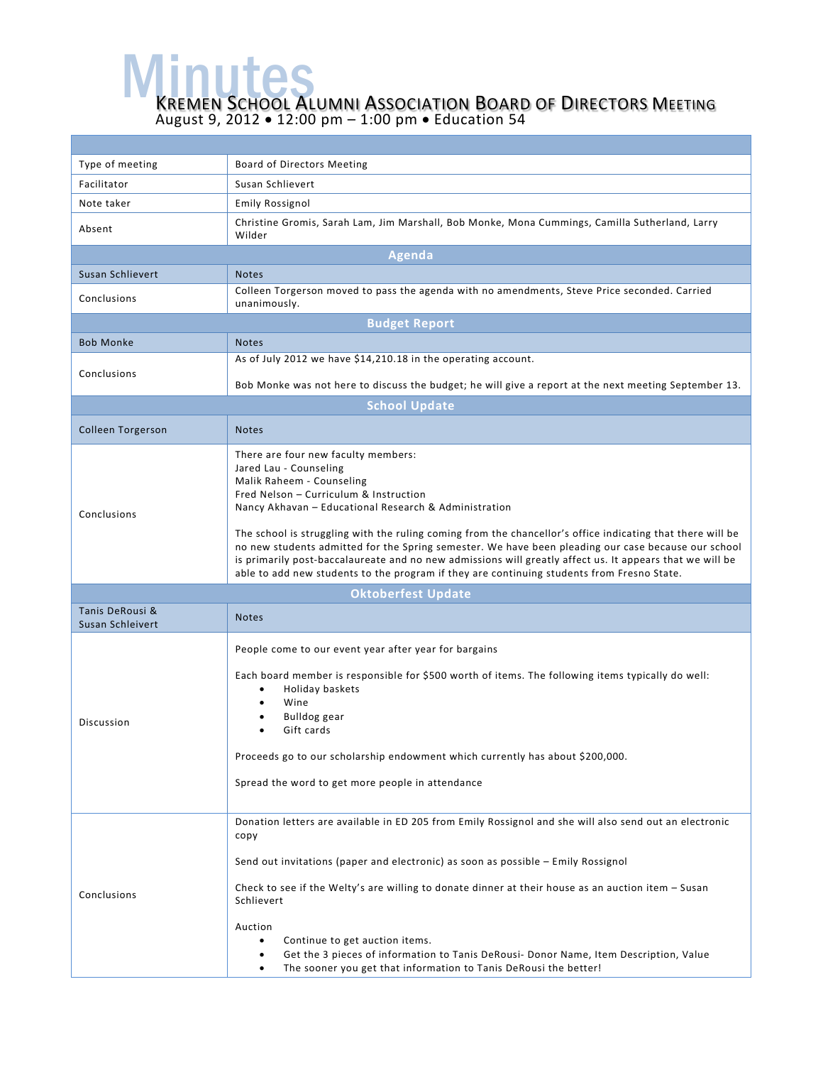WE MULLES MENTION BOARD OF DIRECTORS MEETING August 9, 2012 • 12:00 pm – 1:00 pm • Education 54

| Type of meeting                     | Board of Directors Meeting                                                                                                                                                                                                                                                                                                                                                                                                                                                                                                                                               |  |  |  |
|-------------------------------------|--------------------------------------------------------------------------------------------------------------------------------------------------------------------------------------------------------------------------------------------------------------------------------------------------------------------------------------------------------------------------------------------------------------------------------------------------------------------------------------------------------------------------------------------------------------------------|--|--|--|
| Facilitator                         | Susan Schlievert                                                                                                                                                                                                                                                                                                                                                                                                                                                                                                                                                         |  |  |  |
| Note taker                          | <b>Emily Rossignol</b>                                                                                                                                                                                                                                                                                                                                                                                                                                                                                                                                                   |  |  |  |
| Absent                              | Christine Gromis, Sarah Lam, Jim Marshall, Bob Monke, Mona Cummings, Camilla Sutherland, Larry<br>Wilder                                                                                                                                                                                                                                                                                                                                                                                                                                                                 |  |  |  |
| Agenda                              |                                                                                                                                                                                                                                                                                                                                                                                                                                                                                                                                                                          |  |  |  |
| Susan Schlievert                    | <b>Notes</b>                                                                                                                                                                                                                                                                                                                                                                                                                                                                                                                                                             |  |  |  |
| Conclusions                         | Colleen Torgerson moved to pass the agenda with no amendments, Steve Price seconded. Carried<br>unanimously.                                                                                                                                                                                                                                                                                                                                                                                                                                                             |  |  |  |
| <b>Budget Report</b>                |                                                                                                                                                                                                                                                                                                                                                                                                                                                                                                                                                                          |  |  |  |
| <b>Bob Monke</b>                    | <b>Notes</b>                                                                                                                                                                                                                                                                                                                                                                                                                                                                                                                                                             |  |  |  |
| Conclusions                         | As of July 2012 we have \$14,210.18 in the operating account.                                                                                                                                                                                                                                                                                                                                                                                                                                                                                                            |  |  |  |
|                                     | Bob Monke was not here to discuss the budget; he will give a report at the next meeting September 13.                                                                                                                                                                                                                                                                                                                                                                                                                                                                    |  |  |  |
|                                     | <b>School Update</b>                                                                                                                                                                                                                                                                                                                                                                                                                                                                                                                                                     |  |  |  |
| <b>Colleen Torgerson</b>            | <b>Notes</b>                                                                                                                                                                                                                                                                                                                                                                                                                                                                                                                                                             |  |  |  |
| Conclusions                         | There are four new faculty members:<br>Jared Lau - Counseling<br>Malik Raheem - Counseling<br>Fred Nelson - Curriculum & Instruction<br>Nancy Akhavan - Educational Research & Administration<br>The school is struggling with the ruling coming from the chancellor's office indicating that there will be<br>no new students admitted for the Spring semester. We have been pleading our case because our school<br>is primarily post-baccalaureate and no new admissions will greatly affect us. It appears that we will be                                           |  |  |  |
|                                     | able to add new students to the program if they are continuing students from Fresno State.                                                                                                                                                                                                                                                                                                                                                                                                                                                                               |  |  |  |
|                                     | <b>Oktoberfest Update</b>                                                                                                                                                                                                                                                                                                                                                                                                                                                                                                                                                |  |  |  |
| Tanis DeRousi &<br>Susan Schleivert | <b>Notes</b>                                                                                                                                                                                                                                                                                                                                                                                                                                                                                                                                                             |  |  |  |
| <b>Discussion</b>                   | People come to our event year after year for bargains<br>Each board member is responsible for \$500 worth of items. The following items typically do well:<br>Holiday baskets<br>٠<br>Wine<br><b>Bulldog</b> gear<br>Gift cards<br>Proceeds go to our scholarship endowment which currently has about \$200,000.<br>Spread the word to get more people in attendance                                                                                                                                                                                                     |  |  |  |
| Conclusions                         | Donation letters are available in ED 205 from Emily Rossignol and she will also send out an electronic<br>copy<br>Send out invitations (paper and electronic) as soon as possible - Emily Rossignol<br>Check to see if the Welty's are willing to donate dinner at their house as an auction item - Susan<br>Schlievert<br>Auction<br>Continue to get auction items.<br>$\bullet$<br>Get the 3 pieces of information to Tanis DeRousi- Donor Name, Item Description, Value<br>$\bullet$<br>The sooner you get that information to Tanis DeRousi the better!<br>$\bullet$ |  |  |  |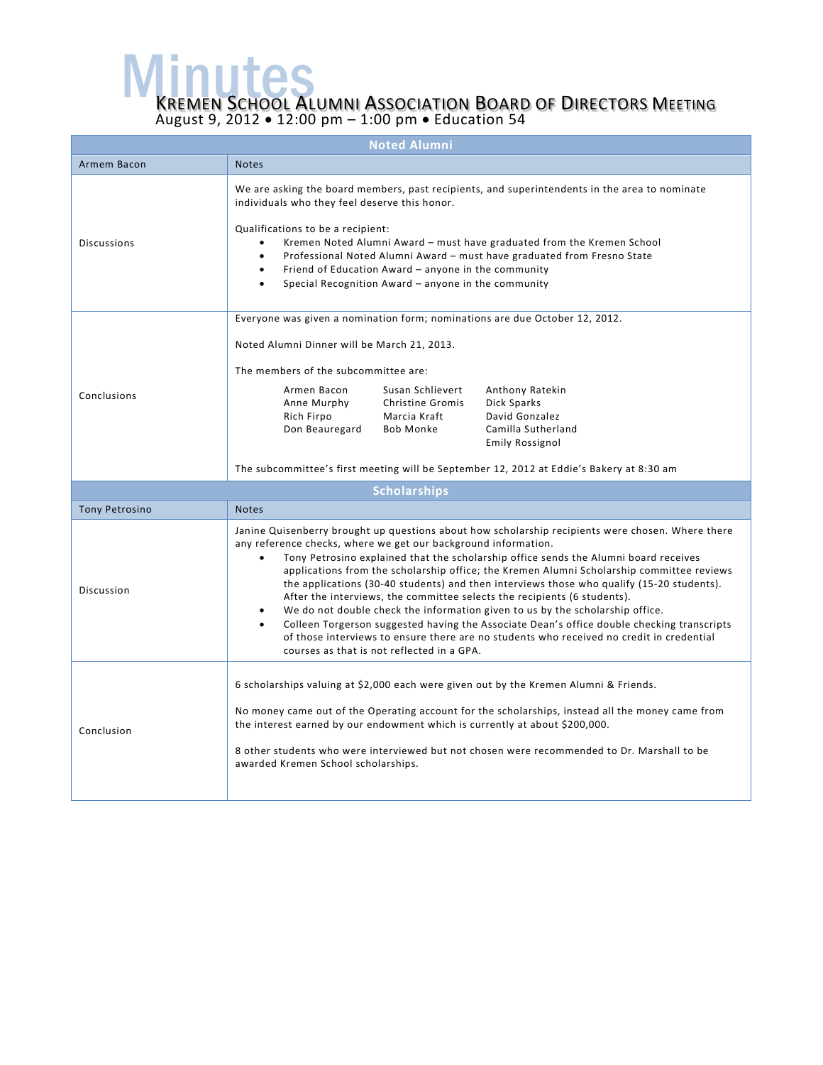WE MULLES MENTION BOARD OF DIRECTORS MEETING August 9, 2012 • 12:00 pm – 1:00 pm • Education 54

| <b>Noted Alumni</b>   |                                                                                                                                                                                                                                                                                                                                                                                                                                                                                                                                                                                                                                                                                                                                                                                                                                                            |  |  |  |
|-----------------------|------------------------------------------------------------------------------------------------------------------------------------------------------------------------------------------------------------------------------------------------------------------------------------------------------------------------------------------------------------------------------------------------------------------------------------------------------------------------------------------------------------------------------------------------------------------------------------------------------------------------------------------------------------------------------------------------------------------------------------------------------------------------------------------------------------------------------------------------------------|--|--|--|
| Armem Bacon           | <b>Notes</b>                                                                                                                                                                                                                                                                                                                                                                                                                                                                                                                                                                                                                                                                                                                                                                                                                                               |  |  |  |
| <b>Discussions</b>    | We are asking the board members, past recipients, and superintendents in the area to nominate<br>individuals who they feel deserve this honor.<br>Qualifications to be a recipient:<br>Kremen Noted Alumni Award – must have graduated from the Kremen School<br>$\bullet$<br>Professional Noted Alumni Award - must have graduated from Fresno State<br>$\bullet$<br>Friend of Education Award - anyone in the community<br>$\bullet$<br>Special Recognition Award - anyone in the community                                                                                                                                                                                                                                                                                                                                                              |  |  |  |
| Conclusions           | Everyone was given a nomination form; nominations are due October 12, 2012.<br>Noted Alumni Dinner will be March 21, 2013.<br>The members of the subcommittee are:<br>Armen Bacon<br>Susan Schlievert<br>Anthony Ratekin<br>Dick Sparks<br>Anne Murphy<br>Christine Gromis<br>Rich Firpo<br>Marcia Kraft<br>David Gonzalez<br>Camilla Sutherland<br>Don Beauregard<br>Bob Monke<br><b>Emily Rossignol</b><br>The subcommittee's first meeting will be September 12, 2012 at Eddie's Bakery at 8:30 am                                                                                                                                                                                                                                                                                                                                                      |  |  |  |
| <b>Scholarships</b>   |                                                                                                                                                                                                                                                                                                                                                                                                                                                                                                                                                                                                                                                                                                                                                                                                                                                            |  |  |  |
| <b>Tony Petrosino</b> | <b>Notes</b>                                                                                                                                                                                                                                                                                                                                                                                                                                                                                                                                                                                                                                                                                                                                                                                                                                               |  |  |  |
| Discussion            | Janine Quisenberry brought up questions about how scholarship recipients were chosen. Where there<br>any reference checks, where we get our background information.<br>Tony Petrosino explained that the scholarship office sends the Alumni board receives<br>applications from the scholarship office; the Kremen Alumni Scholarship committee reviews<br>the applications (30-40 students) and then interviews those who qualify (15-20 students).<br>After the interviews, the committee selects the recipients (6 students).<br>We do not double check the information given to us by the scholarship office.<br>Colleen Torgerson suggested having the Associate Dean's office double checking transcripts<br>of those interviews to ensure there are no students who received no credit in credential<br>courses as that is not reflected in a GPA. |  |  |  |
| Conclusion            | 6 scholarships valuing at \$2,000 each were given out by the Kremen Alumni & Friends.<br>No money came out of the Operating account for the scholarships, instead all the money came from<br>the interest earned by our endowment which is currently at about \$200,000.<br>8 other students who were interviewed but not chosen were recommended to Dr. Marshall to be<br>awarded Kremen School scholarships.                                                                                                                                                                                                                                                                                                                                                                                                                                             |  |  |  |